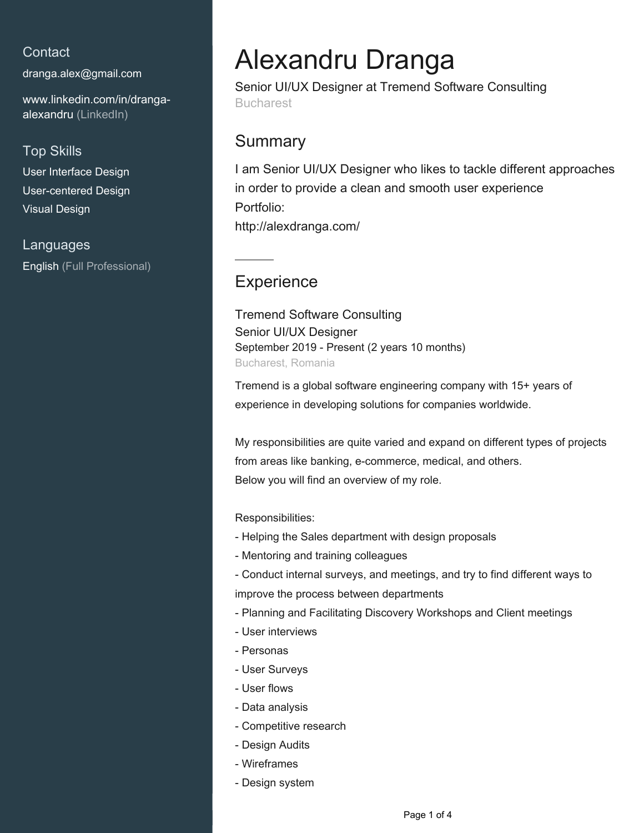## **Contact**

[dranga.alex@gmail.com](mailto:dranga.alex@gmail.com)

[www.linkedin.com/in/dranga](https://www.linkedin.com/in/dranga-alexandru?jobid=1234&lipi=urn%3Ali%3Apage%3Ad_jobs_easyapply_pdfgenresume%3ByiLzOmSeSeiohDyVIpypWQ%3D%3D&licu=urn%3Ali%3Acontrol%3Ad_jobs_easyapply_pdfgenresume-v02_profile)[alexandru \(LinkedIn\)](https://www.linkedin.com/in/dranga-alexandru?jobid=1234&lipi=urn%3Ali%3Apage%3Ad_jobs_easyapply_pdfgenresume%3ByiLzOmSeSeiohDyVIpypWQ%3D%3D&licu=urn%3Ali%3Acontrol%3Ad_jobs_easyapply_pdfgenresume-v02_profile)

### Top Skills

User Interface Design User-centered Design Visual Design

Languages English (Full Professional)

# Alexandru Dranga

Senior UI/UX Designer at Tremend Software Consulting Bucharest

## **Summary**

I am Senior UI/UX Designer who likes to tackle different approaches in order to provide a clean and smooth user experience Portfolio: http://alexdranga.com/

# **Experience**

Tremend Software Consulting Senior UI/UX Designer September 2019 - Present (2 years 10 months) Bucharest, Romania

Tremend is a global software engineering company with 15+ years of experience in developing solutions for companies worldwide.

My responsibilities are quite varied and expand on different types of projects from areas like banking, e-commerce, medical, and others. Below you will find an overview of my role.

Responsibilities:

- Helping the Sales department with design proposals
- Mentoring and training colleagues
- Conduct internal surveys, and meetings, and try to find different ways to improve the process between departments
- Planning and Facilitating Discovery Workshops and Client meetings
- User interviews
- Personas
- User Surveys
- User flows
- Data analysis
- Competitive research
- Design Audits
- Wireframes
- Design system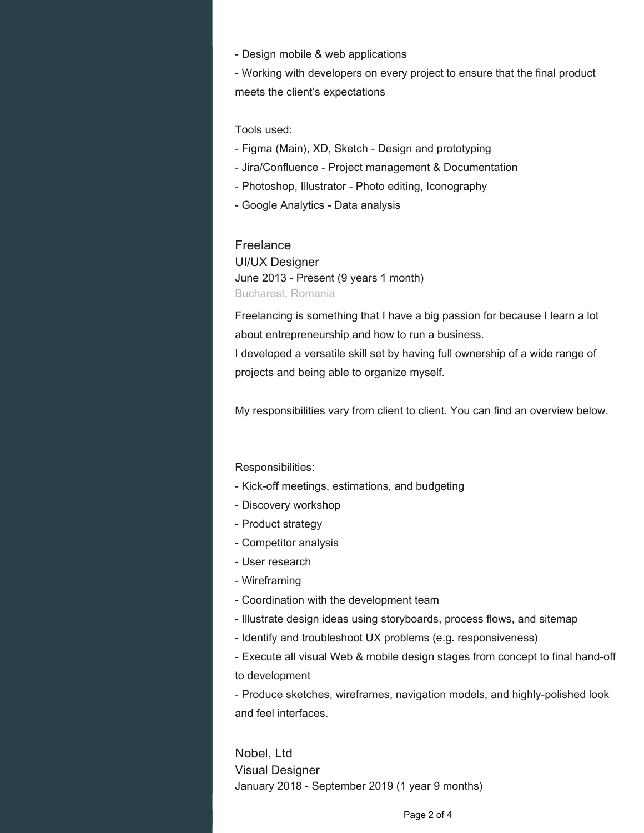- Design mobile & web applications

- Working with developers on every project to ensure that the final product meets the client's expectations

#### Tools used:

- Figma (Main), XD, Sketch Design and prototyping
- Jira/Confluence Project management & Documentation
- Photoshop, Illustrator Photo editing, Iconography
- Google Analytics Data analysis

#### Freelance

UI/UX Designer June 2013 - Present (9 years 1 month) Bucharest, Romania

Freelancing is something that I have a big passion for because I learn a lot about entrepreneurship and how to run a business.

I developed a versatile skill set by having full ownership of a wide range of projects and being able to organize myself.

My responsibilities vary from client to client. You can find an overview below.

Responsibilities:

- Kick-off meetings, estimations, and budgeting
- Discovery workshop
- Product strategy
- Competitor analysis
- User research
- Wireframing
- Coordination with the development team
- Illustrate design ideas using storyboards, process flows, and sitemap
- Identify and troubleshoot UX problems (e.g. responsiveness)
- Execute all visual Web & mobile design stages from concept to final hand-off to development

- Produce sketches, wireframes, navigation models, and highly-polished look and feel interfaces.

Nobel, Ltd Visual Designer January 2018 - September 2019 (1 year 9 months)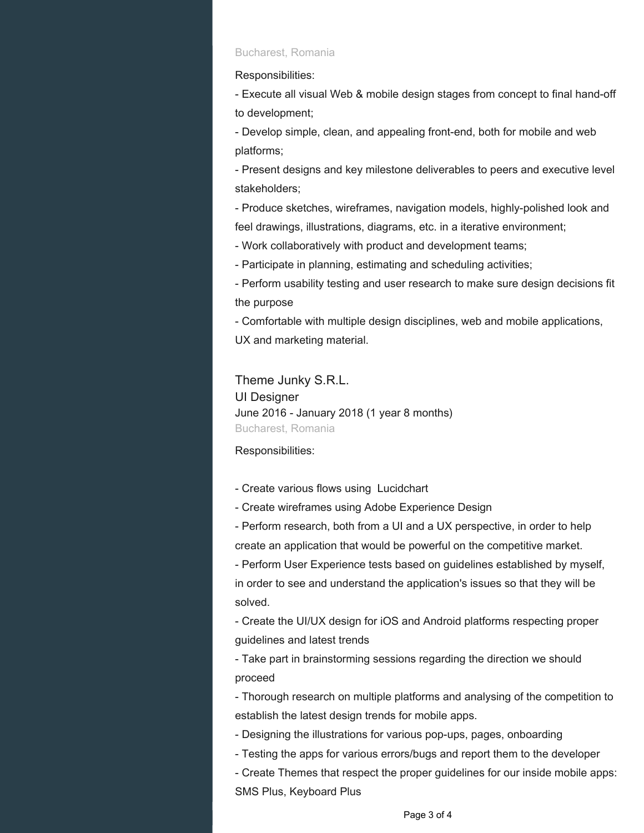#### Bucharest, Romania

Responsibilities:

- Execute all visual Web & mobile design stages from concept to final hand-off to development;

- Develop simple, clean, and appealing front-end, both for mobile and web platforms;

- Present designs and key milestone deliverables to peers and executive level stakeholders;

- Produce sketches, wireframes, navigation models, highly-polished look and feel drawings, illustrations, diagrams, etc. in a iterative environment;

- Work collaboratively with product and development teams;

- Participate in planning, estimating and scheduling activities;

- Perform usability testing and user research to make sure design decisions fit the purpose

- Comfortable with multiple design disciplines, web and mobile applications, UX and marketing material.

Theme Junky S.R.L. UI Designer June 2016 - January 2018 (1 year 8 months) Bucharest, Romania

Responsibilities:

- Create various flows using Lucidchart
- Create wireframes using Adobe Experience Design

- Perform research, both from a UI and a UX perspective, in order to help create an application that would be powerful on the competitive market.

- Perform User Experience tests based on guidelines established by myself, in order to see and understand the application's issues so that they will be solved.

- Create the UI/UX design for iOS and Android platforms respecting proper guidelines and latest trends

- Take part in brainstorming sessions regarding the direction we should proceed

- Thorough research on multiple platforms and analysing of the competition to establish the latest design trends for mobile apps.

- Designing the illustrations for various pop-ups, pages, onboarding
- Testing the apps for various errors/bugs and report them to the developer

- Create Themes that respect the proper guidelines for our inside mobile apps: SMS Plus, Keyboard Plus